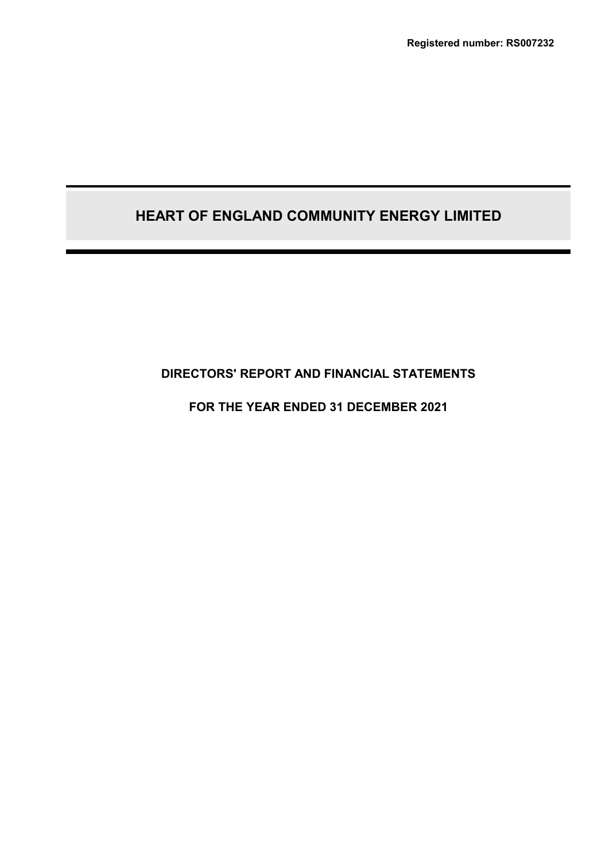# **DIRECTORS' REPORT AND FINANCIAL STATEMENTS**

# **FOR THE YEAR ENDED 31 DECEMBER 2021**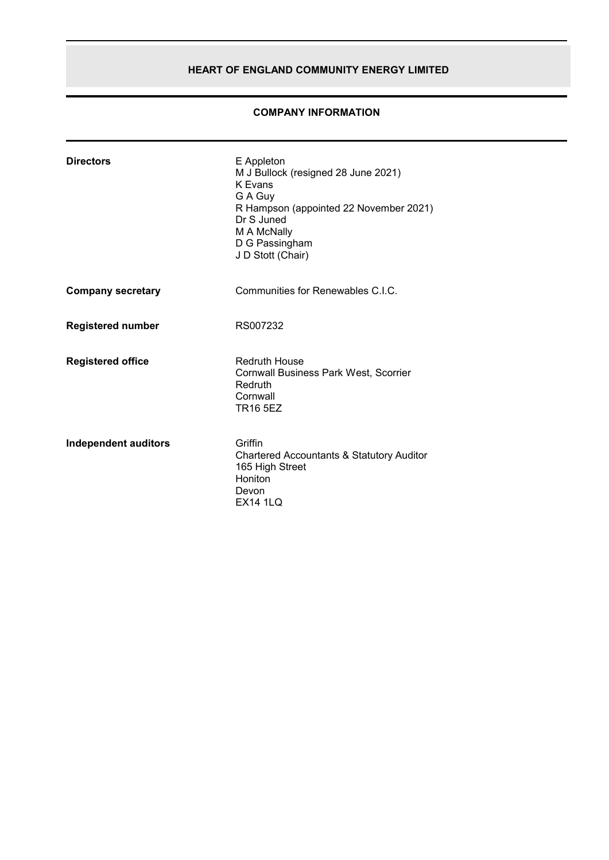# **COMPANY INFORMATION**

| <b>Directors</b>            | E Appleton<br>M J Bullock (resigned 28 June 2021)<br>K Evans<br>G A Guy<br>R Hampson (appointed 22 November 2021)<br>Dr S Juned<br>M A McNally<br>D G Passingham<br>J D Stott (Chair) |
|-----------------------------|---------------------------------------------------------------------------------------------------------------------------------------------------------------------------------------|
| <b>Company secretary</b>    | Communities for Renewables C.L.C.                                                                                                                                                     |
| <b>Registered number</b>    | RS007232                                                                                                                                                                              |
| <b>Registered office</b>    | <b>Redruth House</b><br><b>Cornwall Business Park West, Scorrier</b><br>Redruth<br>Cornwall<br><b>TR16 5EZ</b>                                                                        |
| <b>Independent auditors</b> | Griffin<br>Chartered Accountants & Statutory Auditor<br>165 High Street<br>Honiton<br>Devon<br><b>EX14 1LQ</b>                                                                        |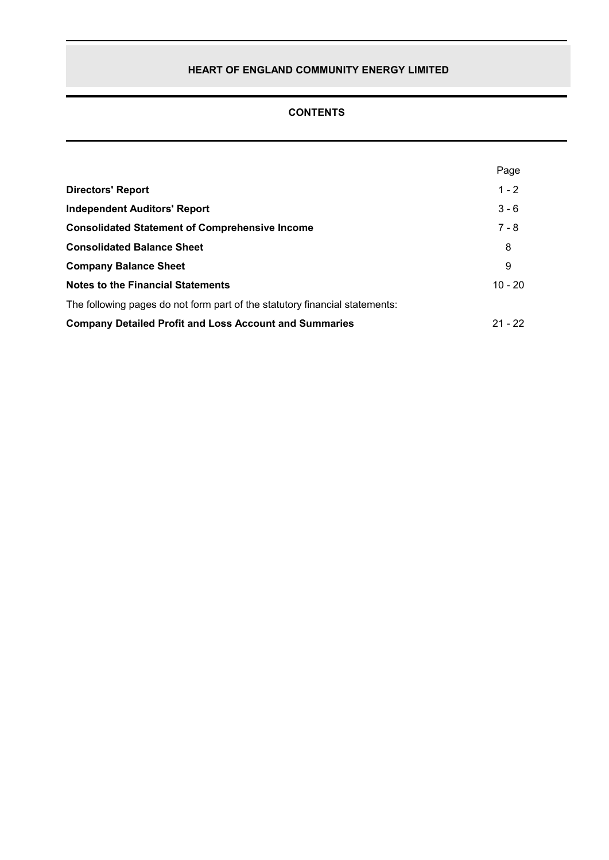# **CONTENTS**

|                                                                             | Page      |
|-----------------------------------------------------------------------------|-----------|
| <b>Directors' Report</b>                                                    | $1 - 2$   |
| <b>Independent Auditors' Report</b>                                         | $3 - 6$   |
| <b>Consolidated Statement of Comprehensive Income</b>                       | $7 - 8$   |
| <b>Consolidated Balance Sheet</b>                                           | 8         |
| <b>Company Balance Sheet</b>                                                | 9         |
| <b>Notes to the Financial Statements</b>                                    | $10 - 20$ |
| The following pages do not form part of the statutory financial statements: |           |
| <b>Company Detailed Profit and Loss Account and Summaries</b>               | $21 - 22$ |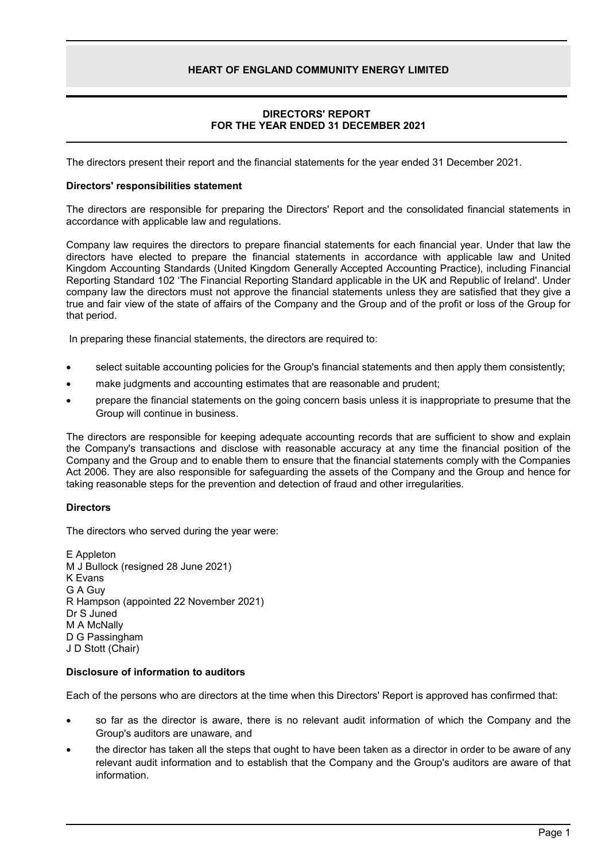# **DIRECTORS' REPORT FOR THE YEAR ENDED 31 DECEMBER 2021**

The directors present their report and the financial statements for the year ended 31 December 2021.

#### **Directors' responsibilities statement**

The directors are responsible for preparing the Directors' Report and the consolidated financial statements in accordance with applicable law and regulations.

Company law requires the directors to prepare financial statements for each financial year. Under that law the directors have elected to prepare the financial statements in accordance with applicable law and United Kingdom Accounting Standards (United Kingdom Generally Accepted Accounting Practice), including Financial Reporting Standard 102 'The Financial Reporting Standard applicable in the UK and Republic of Ireland'. Under company law the directors must not approve the financial statements unless they are satisfied that they give a true and fair view of the state of affairs of the Company and the Group and of the profit or loss of the Group for that period.

In preparing these financial statements, the directors are required to:

- select suitable accounting policies for the Group's financial statements and then apply them consistently;
- make judgments and accounting estimates that are reasonable and prudent;
- prepare the financial statements on the going concern basis unless it is inappropriate to presume that the Group will continue in business.

The directors are responsible for keeping adequate accounting records that are sufficient to show and explain the Company's transactions and disclose with reasonable accuracy at any time the financial position of the Company and the Group and to enable them to ensure that the financial statements comply with the Companies Act 2006. They are also responsible for safeguarding the assets of the Company and the Group and hence for taking reasonable steps for the prevention and detection of fraud and other irregularities.

# **Directors**

The directors who served during the year were:

E Appleton M J Bullock (resigned 28 June 2021) K Evans G A Guy R Hampson (appointed 22 November 2021) Dr S Juned M A McNally D G Passingham J D Stott (Chair)

# **Disclosure of information to auditors**

Each of the persons who are directors at the time when this Directors' Report is approved has confirmed that:

- so far as the director is aware, there is no relevant audit information of which the Company and the Group's auditors are unaware, and
- the director has taken all the steps that ought to have been taken as a director in order to be aware of any relevant audit information and to establish that the Company and the Group's auditors are aware of that information.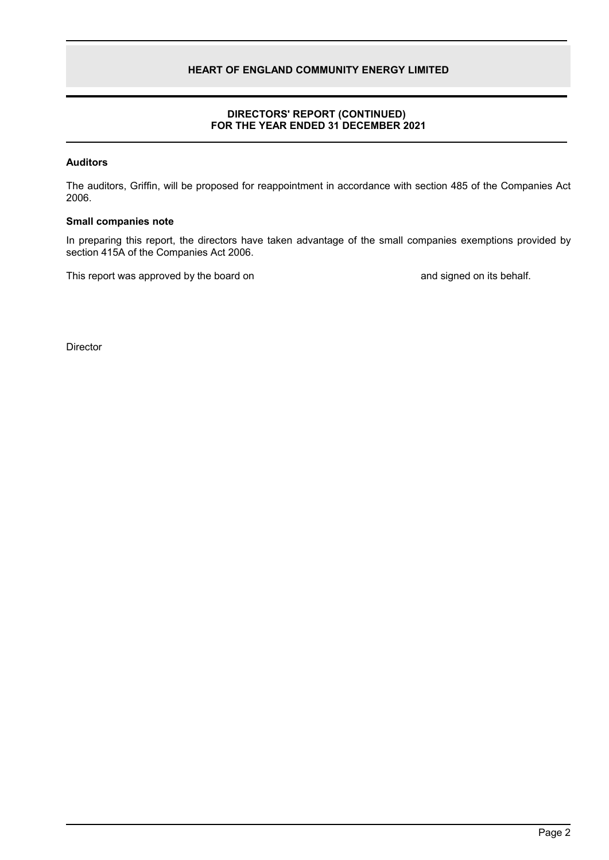# **DIRECTORS' REPORT (CONTINUED) FOR THE YEAR ENDED 31 DECEMBER 2021**

# **Auditors**

The auditors, Griffin, will be proposed for reappointment in accordance with section 485 of the Companies Act 2006.

### **Small companies note**

In preparing this report, the directors have taken advantage of the small companies exemptions provided by section 415A of the Companies Act 2006.

This report was approved by the board on and signed on its behalf.

**Director**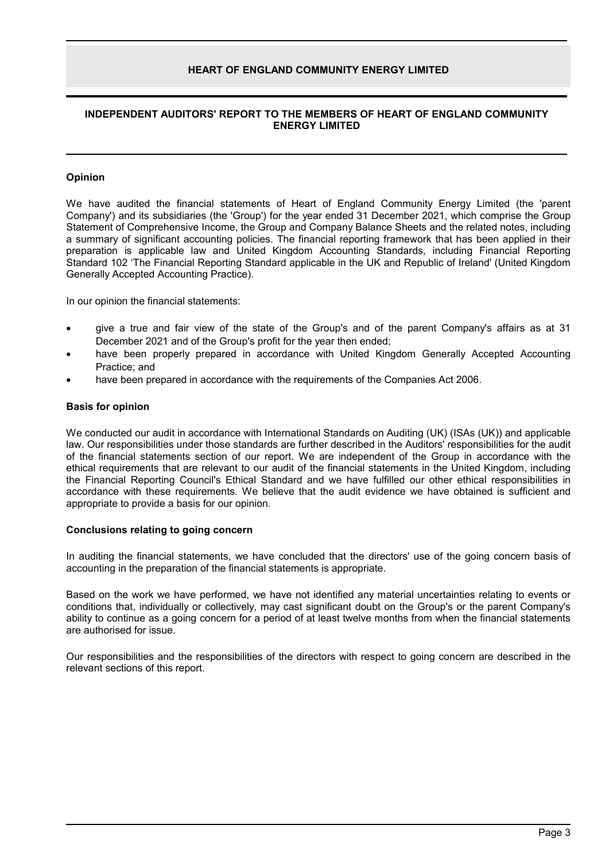#### **INDEPENDENT AUDITORS' REPORT TO THE MEMBERS OF HEART OF ENGLAND COMMUNITY ENERGY LIMITED**

#### **Opinion**

We have audited the financial statements of Heart of England Community Energy Limited (the 'parent Company') and its subsidiaries (the 'Group') for the year ended 31 December 2021, which comprise the Group Statement of Comprehensive Income, the Group and Company Balance Sheets and the related notes, including a summary of significant accounting policies. The financial reporting framework that has been applied in their preparation is applicable law and United Kingdom Accounting Standards, including Financial Reporting Standard 102 'The Financial Reporting Standard applicable in the UK and Republic of Ireland' (United Kingdom Generally Accepted Accounting Practice).

In our opinion the financial statements:

- give a true and fair view of the state of the Group's and of the parent Company's affairs as at 31 December 2021 and of the Group's profit for the year then ended;
- have been properly prepared in accordance with United Kingdom Generally Accepted Accounting Practice; and
- have been prepared in accordance with the requirements of the Companies Act 2006.

#### **Basis for opinion**

We conducted our audit in accordance with International Standards on Auditing (UK) (ISAs (UK)) and applicable law. Our responsibilities under those standards are further described in the Auditors' responsibilities for the audit of the financial statements section of our report. We are independent of the Group in accordance with the ethical requirements that are relevant to our audit of the financial statements in the United Kingdom, including the Financial Reporting Council's Ethical Standard and we have fulfilled our other ethical responsibilities in accordance with these requirements. We believe that the audit evidence we have obtained is sufficient and appropriate to provide a basis for our opinion.

#### **Conclusions relating to going concern**

In auditing the financial statements, we have concluded that the directors' use of the going concern basis of accounting in the preparation of the financial statements is appropriate.

Based on the work we have performed, we have not identified any material uncertainties relating to events or conditions that, individually or collectively, may cast significant doubt on the Group's or the parent Company's ability to continue as a going concern for a period of at least twelve months from when the financial statements are authorised for issue.

Our responsibilities and the responsibilities of the directors with respect to going concern are described in the relevant sections of this report.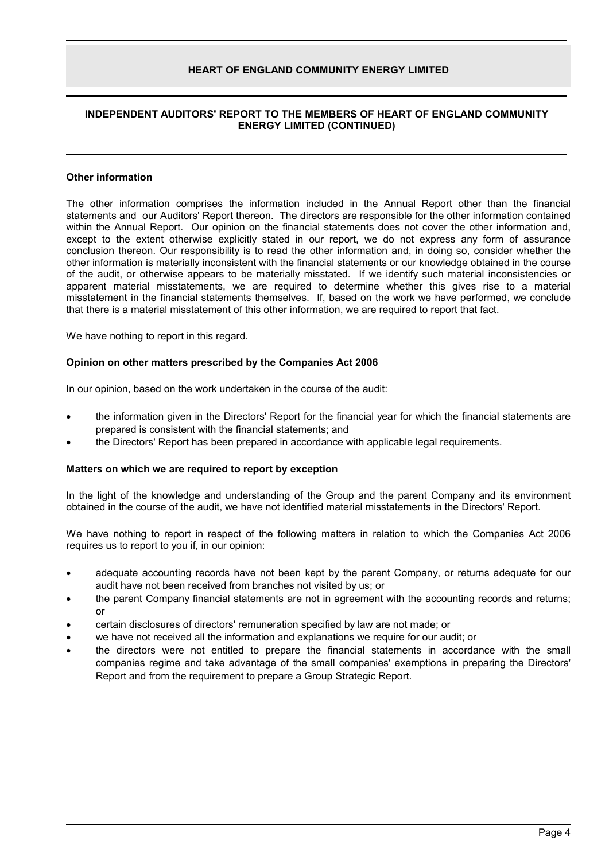#### **INDEPENDENT AUDITORS' REPORT TO THE MEMBERS OF HEART OF ENGLAND COMMUNITY ENERGY LIMITED (CONTINUED)**

#### **Other information**

The other information comprises the information included in the Annual Report other than the financial statements and our Auditors' Report thereon. The directors are responsible for the other information contained within the Annual Report. Our opinion on the financial statements does not cover the other information and, except to the extent otherwise explicitly stated in our report, we do not express any form of assurance conclusion thereon. Our responsibility is to read the other information and, in doing so, consider whether the other information is materially inconsistent with the financial statements or our knowledge obtained in the course of the audit, or otherwise appears to be materially misstated. If we identify such material inconsistencies or apparent material misstatements, we are required to determine whether this gives rise to a material misstatement in the financial statements themselves. If, based on the work we have performed, we conclude that there is a material misstatement of this other information, we are required to report that fact.

We have nothing to report in this regard.

#### **Opinion on other matters prescribed by the Companies Act 2006**

In our opinion, based on the work undertaken in the course of the audit:

- the information given in the Directors' Report for the financial year for which the financial statements are prepared is consistent with the financial statements; and
- the Directors' Report has been prepared in accordance with applicable legal requirements.

#### **Matters on which we are required to report by exception**

In the light of the knowledge and understanding of the Group and the parent Company and its environment obtained in the course of the audit, we have not identified material misstatements in the Directors' Report.

We have nothing to report in respect of the following matters in relation to which the Companies Act 2006 requires us to report to you if, in our opinion:

- adequate accounting records have not been kept by the parent Company, or returns adequate for our audit have not been received from branches not visited by us; or
- the parent Company financial statements are not in agreement with the accounting records and returns; or
- certain disclosures of directors' remuneration specified by law are not made; or
- we have not received all the information and explanations we require for our audit; or
- the directors were not entitled to prepare the financial statements in accordance with the small companies regime and take advantage of the small companies' exemptions in preparing the Directors' Report and from the requirement to prepare a Group Strategic Report.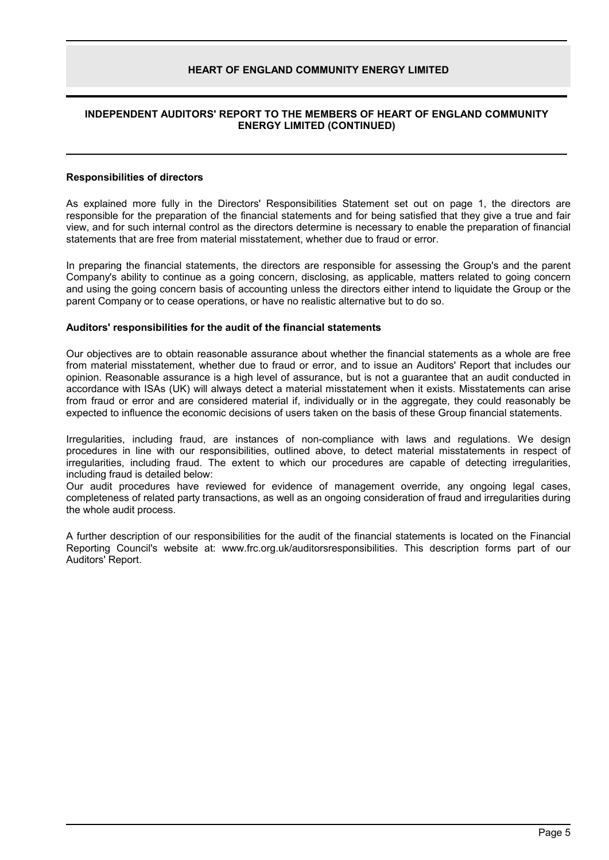#### **INDEPENDENT AUDITORS' REPORT TO THE MEMBERS OF HEART OF ENGLAND COMMUNITY ENERGY LIMITED (CONTINUED)**

#### **Responsibilities of directors**

As explained more fully in the Directors' Responsibilities Statement set out on page 1, the directors are responsible for the preparation of the financial statements and for being satisfied that they give a true and fair view, and for such internal control as the directors determine is necessary to enable the preparation of financial statements that are free from material misstatement, whether due to fraud or error.

In preparing the financial statements, the directors are responsible for assessing the Group's and the parent Company's ability to continue as a going concern, disclosing, as applicable, matters related to going concern and using the going concern basis of accounting unless the directors either intend to liquidate the Group or the parent Company or to cease operations, or have no realistic alternative but to do so.

#### **Auditors' responsibilities for the audit of the financial statements**

Our objectives are to obtain reasonable assurance about whether the financial statements as a whole are free from material misstatement, whether due to fraud or error, and to issue an Auditors' Report that includes our opinion. Reasonable assurance is a high level of assurance, but is not a guarantee that an audit conducted in accordance with ISAs (UK) will always detect a material misstatement when it exists. Misstatements can arise from fraud or error and are considered material if, individually or in the aggregate, they could reasonably be expected to influence the economic decisions of users taken on the basis of these Group financial statements.

Irregularities, including fraud, are instances of non-compliance with laws and regulations. We design procedures in line with our responsibilities, outlined above, to detect material misstatements in respect of irregularities, including fraud. The extent to which our procedures are capable of detecting irregularities, including fraud is detailed below:

Our audit procedures have reviewed for evidence of management override, any ongoing legal cases, completeness of related party transactions, as well as an ongoing consideration of fraud and irregularities during the whole audit process.

A further description of our responsibilities for the audit of the financial statements is located on the Financial Reporting Council's website at: www.frc.org.uk/auditorsresponsibilities. This description forms part of our Auditors' Report.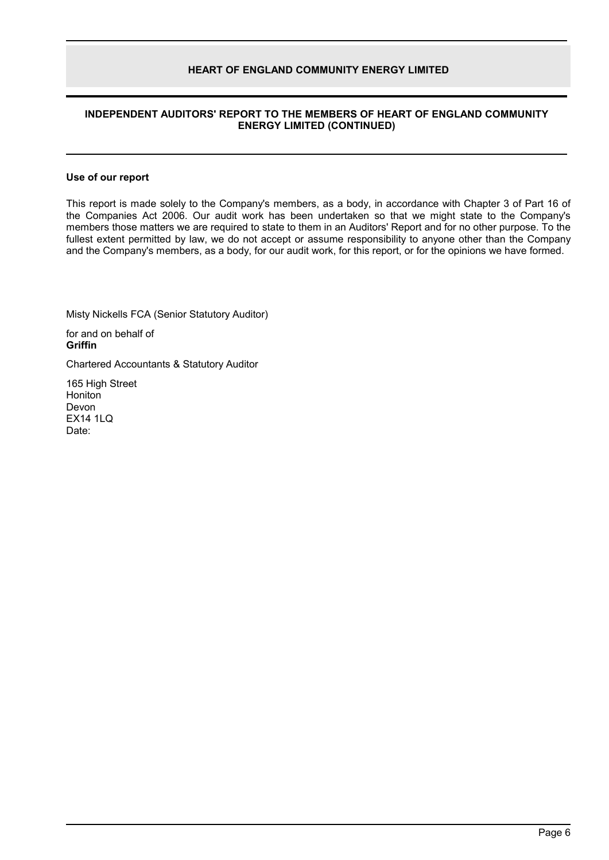### **INDEPENDENT AUDITORS' REPORT TO THE MEMBERS OF HEART OF ENGLAND COMMUNITY ENERGY LIMITED (CONTINUED)**

#### **Use of our report**

This report is made solely to the Company's members, as a body, in accordance with Chapter 3 of Part 16 of the Companies Act 2006. Our audit work has been undertaken so that we might state to the Company's members those matters we are required to state to them in an Auditors' Report and for no other purpose. To the fullest extent permitted by law, we do not accept or assume responsibility to anyone other than the Company and the Company's members, as a body, for our audit work, for this report, or for the opinions we have formed.

Misty Nickells FCA (Senior Statutory Auditor)

for and on behalf of **Griffin**

Chartered Accountants & Statutory Auditor

165 High Street Honiton Devon EX14 1LQ Date: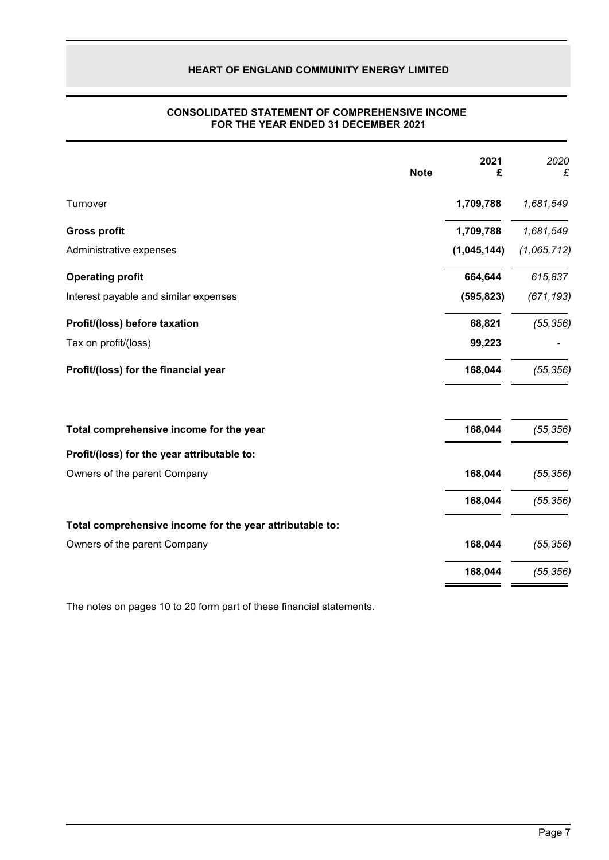|                                                          | <b>Note</b> | 2021<br>£   | 2020<br>£   |
|----------------------------------------------------------|-------------|-------------|-------------|
| Turnover                                                 |             | 1,709,788   | 1,681,549   |
| <b>Gross profit</b>                                      |             | 1,709,788   | 1,681,549   |
| Administrative expenses                                  |             | (1,045,144) | (1,065,712) |
| <b>Operating profit</b>                                  |             | 664,644     | 615,837     |
| Interest payable and similar expenses                    |             | (595, 823)  | (671, 193)  |
| Profit/(loss) before taxation                            |             | 68,821      | (55, 356)   |
| Tax on profit/(loss)                                     |             | 99,223      |             |
| Profit/(loss) for the financial year                     |             | 168,044     | (55, 356)   |
| Total comprehensive income for the year                  |             | 168,044     | (55, 356)   |
| Profit/(loss) for the year attributable to:              |             |             |             |
| Owners of the parent Company                             |             | 168,044     | (55, 356)   |
|                                                          |             | 168,044     | (55, 356)   |
| Total comprehensive income for the year attributable to: |             |             |             |
| Owners of the parent Company                             |             | 168,044     | (55, 356)   |
|                                                          |             | 168,044     | (55, 356)   |
|                                                          |             |             |             |

#### **CONSOLIDATED STATEMENT OF COMPREHENSIVE INCOME FOR THE YEAR ENDED 31 DECEMBER 2021**

The notes on pages 10 to 20 form part of these financial statements.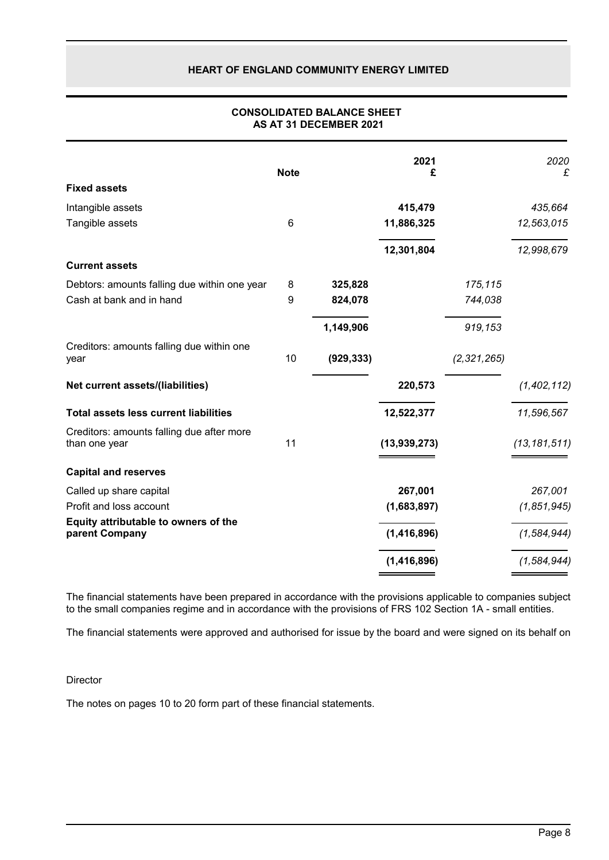|                                                            | <b>Note</b> |            | 2021<br>£     |               | 2020<br>£      |
|------------------------------------------------------------|-------------|------------|---------------|---------------|----------------|
| <b>Fixed assets</b>                                        |             |            |               |               |                |
| Intangible assets                                          |             |            | 415,479       |               | 435,664        |
| Tangible assets                                            | 6           |            | 11,886,325    |               | 12,563,015     |
|                                                            |             |            | 12,301,804    |               | 12,998,679     |
| <b>Current assets</b>                                      |             |            |               |               |                |
| Debtors: amounts falling due within one year               | 8           | 325,828    |               | 175,115       |                |
| Cash at bank and in hand                                   | 9           | 824,078    |               | 744,038       |                |
|                                                            |             | 1,149,906  |               | 919,153       |                |
| Creditors: amounts falling due within one<br>year          | 10          | (929, 333) |               | (2, 321, 265) |                |
| Net current assets/(liabilities)                           |             |            | 220,573       |               | (1, 402, 112)  |
| <b>Total assets less current liabilities</b>               |             |            | 12,522,377    |               | 11,596,567     |
| Creditors: amounts falling due after more<br>than one year | 11          |            | (13,939,273)  |               | (13, 181, 511) |
| <b>Capital and reserves</b>                                |             |            |               |               |                |
| Called up share capital                                    |             |            | 267,001       |               | 267,001        |
| Profit and loss account                                    |             |            | (1,683,897)   |               | (1, 851, 945)  |
| Equity attributable to owners of the<br>parent Company     |             |            | (1, 416, 896) |               | (1, 584, 944)  |
|                                                            |             |            | (1, 416, 896) |               | (1, 584, 944)  |

#### **CONSOLIDATED BALANCE SHEET AS AT 31 DECEMBER 2021**

The financial statements have been prepared in accordance with the provisions applicable to companies subject to the small companies regime and in accordance with the provisions of FRS 102 Section 1A - small entities.

The financial statements were approved and authorised for issue by the board and were signed on its behalf on

#### **Director**

The notes on pages 10 to 20 form part of these financial statements.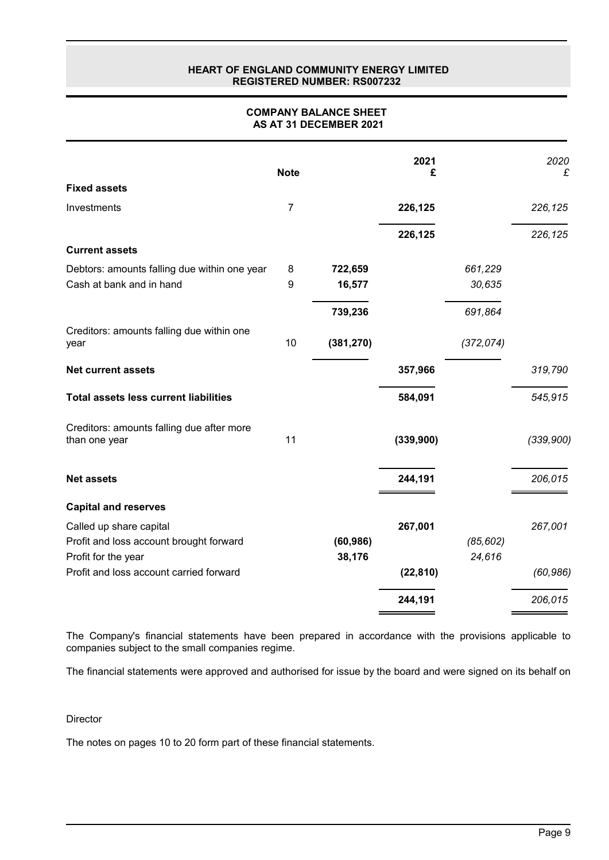#### **HEART OF ENGLAND COMMUNITY ENERGY LIMITED REGISTERED NUMBER: RS007232**

| <b>COMPANY BALANCE SHEET</b> |
|------------------------------|
| AS AT 31 DECEMBER 2021       |

|                                                            | <b>Note</b>      |            | 2021<br>£ |            | 2020<br>£ |
|------------------------------------------------------------|------------------|------------|-----------|------------|-----------|
| <b>Fixed assets</b>                                        |                  |            |           |            |           |
| Investments                                                | $\overline{7}$   |            | 226,125   |            | 226,125   |
|                                                            |                  |            | 226,125   |            | 226,125   |
| <b>Current assets</b>                                      |                  |            |           |            |           |
| Debtors: amounts falling due within one year               | 8                | 722,659    |           | 661,229    |           |
| Cash at bank and in hand                                   | $\boldsymbol{9}$ | 16,577     |           | 30,635     |           |
|                                                            |                  | 739,236    |           | 691,864    |           |
| Creditors: amounts falling due within one<br>year          | 10               | (381, 270) |           | (372, 074) |           |
| <b>Net current assets</b>                                  |                  |            | 357,966   |            | 319,790   |
| <b>Total assets less current liabilities</b>               |                  |            | 584,091   |            | 545,915   |
| Creditors: amounts falling due after more<br>than one year | 11               |            | (339,900) |            | (339,900) |
| <b>Net assets</b>                                          |                  |            | 244,191   |            | 206,015   |
| <b>Capital and reserves</b>                                |                  |            |           |            |           |
| Called up share capital                                    |                  |            | 267,001   |            | 267,001   |
| Profit and loss account brought forward                    |                  | (60, 986)  |           | (85, 602)  |           |
| Profit for the year                                        |                  | 38,176     |           | 24,616     |           |
| Profit and loss account carried forward                    |                  |            | (22, 810) |            | (60, 986) |
|                                                            |                  |            | 244,191   |            | 206,015   |

The Company's financial statements have been prepared in accordance with the provisions applicable to companies subject to the small companies regime.

The financial statements were approved and authorised for issue by the board and were signed on its behalf on

**Director** 

The notes on pages 10 to 20 form part of these financial statements.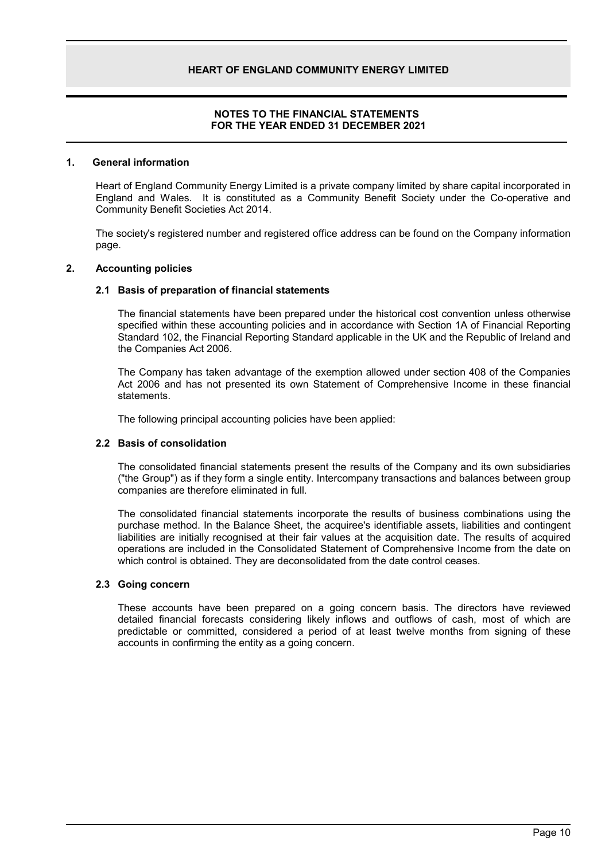### **NOTES TO THE FINANCIAL STATEMENTS FOR THE YEAR ENDED 31 DECEMBER 2021**

#### **1. General information**

Heart of England Community Energy Limited is a private company limited by share capital incorporated in England and Wales. It is constituted as a Community Benefit Society under the Co-operative and Community Benefit Societies Act 2014.

The society's registered number and registered office address can be found on the Company information page.

#### **2. Accounting policies**

#### **2.1 Basis of preparation of financial statements**

The financial statements have been prepared under the historical cost convention unless otherwise specified within these accounting policies and in accordance with Section 1A of Financial Reporting Standard 102, the Financial Reporting Standard applicable in the UK and the Republic of Ireland and the Companies Act 2006.

The Company has taken advantage of the exemption allowed under section 408 of the Companies Act 2006 and has not presented its own Statement of Comprehensive Income in these financial statements.

The following principal accounting policies have been applied:

### **2.2 Basis of consolidation**

The consolidated financial statements present the results of the Company and its own subsidiaries ("the Group") as if they form a single entity. Intercompany transactions and balances between group companies are therefore eliminated in full.

The consolidated financial statements incorporate the results of business combinations using the purchase method. In the Balance Sheet, the acquiree's identifiable assets, liabilities and contingent liabilities are initially recognised at their fair values at the acquisition date. The results of acquired operations are included in the Consolidated Statement of Comprehensive Income from the date on which control is obtained. They are deconsolidated from the date control ceases.

#### **2.3 Going concern**

These accounts have been prepared on a going concern basis. The directors have reviewed detailed financial forecasts considering likely inflows and outflows of cash, most of which are predictable or committed, considered a period of at least twelve months from signing of these accounts in confirming the entity as a going concern.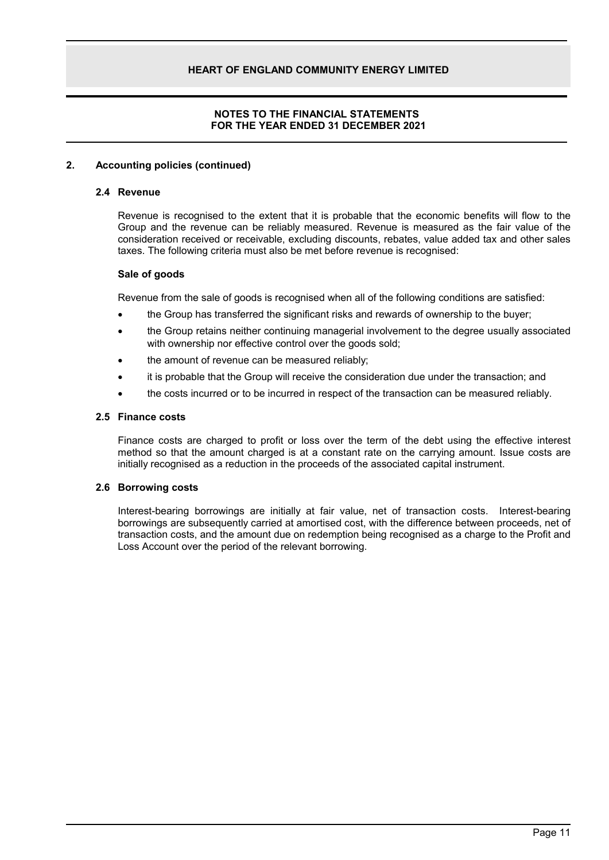# **NOTES TO THE FINANCIAL STATEMENTS FOR THE YEAR ENDED 31 DECEMBER 2021**

### **2. Accounting policies (continued)**

#### **2.4 Revenue**

Revenue is recognised to the extent that it is probable that the economic benefits will flow to the Group and the revenue can be reliably measured. Revenue is measured as the fair value of the consideration received or receivable, excluding discounts, rebates, value added tax and other sales taxes. The following criteria must also be met before revenue is recognised:

#### **Sale of goods**

Revenue from the sale of goods is recognised when all of the following conditions are satisfied:

- the Group has transferred the significant risks and rewards of ownership to the buyer;
- the Group retains neither continuing managerial involvement to the degree usually associated with ownership nor effective control over the goods sold;
- the amount of revenue can be measured reliably;
- it is probable that the Group will receive the consideration due under the transaction; and
- the costs incurred or to be incurred in respect of the transaction can be measured reliably.

#### **2.5 Finance costs**

Finance costs are charged to profit or loss over the term of the debt using the effective interest method so that the amount charged is at a constant rate on the carrying amount. Issue costs are initially recognised as a reduction in the proceeds of the associated capital instrument.

# **2.6 Borrowing costs**

Interest-bearing borrowings are initially at fair value, net of transaction costs. Interest-bearing borrowings are subsequently carried at amortised cost, with the difference between proceeds, net of transaction costs, and the amount due on redemption being recognised as a charge to the Profit and Loss Account over the period of the relevant borrowing.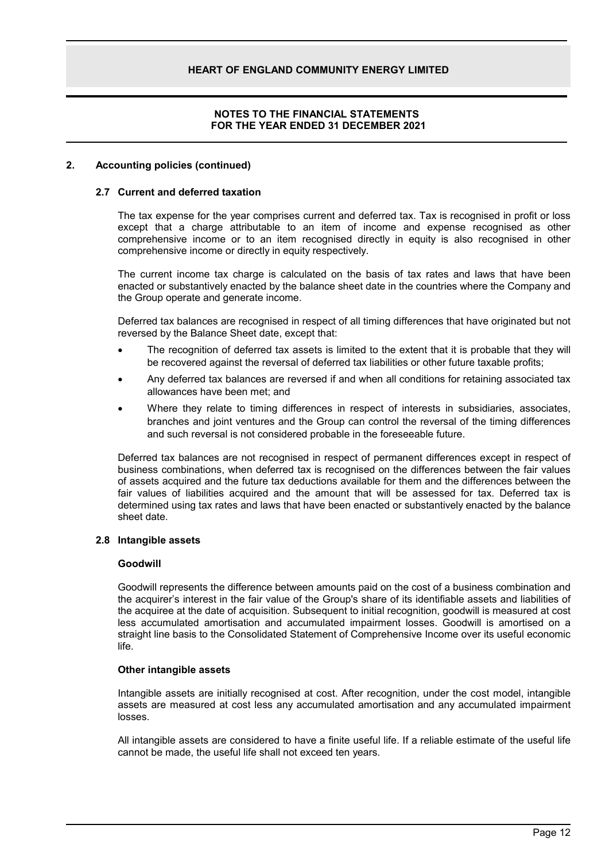### **NOTES TO THE FINANCIAL STATEMENTS FOR THE YEAR ENDED 31 DECEMBER 2021**

#### **2. Accounting policies (continued)**

#### **2.7 Current and deferred taxation**

The tax expense for the year comprises current and deferred tax. Tax is recognised in profit or loss except that a charge attributable to an item of income and expense recognised as other comprehensive income or to an item recognised directly in equity is also recognised in other comprehensive income or directly in equity respectively.

The current income tax charge is calculated on the basis of tax rates and laws that have been enacted or substantively enacted by the balance sheet date in the countries where the Company and the Group operate and generate income.

Deferred tax balances are recognised in respect of all timing differences that have originated but not reversed by the Balance Sheet date, except that:

- The recognition of deferred tax assets is limited to the extent that it is probable that they will be recovered against the reversal of deferred tax liabilities or other future taxable profits;
- Any deferred tax balances are reversed if and when all conditions for retaining associated tax allowances have been met; and
- Where they relate to timing differences in respect of interests in subsidiaries, associates, branches and joint ventures and the Group can control the reversal of the timing differences and such reversal is not considered probable in the foreseeable future.

Deferred tax balances are not recognised in respect of permanent differences except in respect of business combinations, when deferred tax is recognised on the differences between the fair values of assets acquired and the future tax deductions available for them and the differences between the fair values of liabilities acquired and the amount that will be assessed for tax. Deferred tax is determined using tax rates and laws that have been enacted or substantively enacted by the balance sheet date.

#### **2.8 Intangible assets**

#### **Goodwill**

Goodwill represents the difference between amounts paid on the cost of a business combination and the acquirer's interest in the fair value of the Group's share of its identifiable assets and liabilities of the acquiree at the date of acquisition. Subsequent to initial recognition, goodwill is measured at cost less accumulated amortisation and accumulated impairment losses. Goodwill is amortised on a straight line basis to the Consolidated Statement of Comprehensive Income over its useful economic life.

#### **Other intangible assets**

Intangible assets are initially recognised at cost. After recognition, under the cost model, intangible assets are measured at cost less any accumulated amortisation and any accumulated impairment losses.

All intangible assets are considered to have a finite useful life. If a reliable estimate of the useful life cannot be made, the useful life shall not exceed ten years.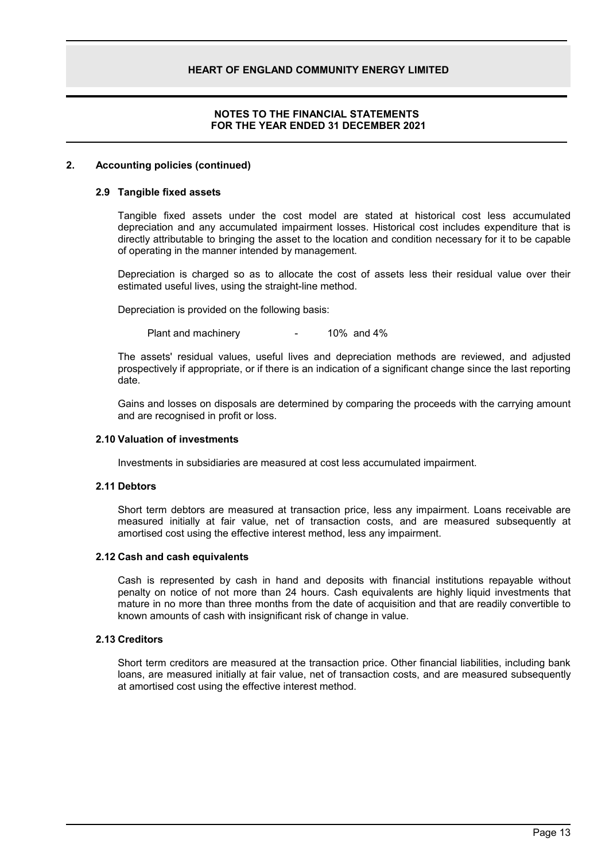### **NOTES TO THE FINANCIAL STATEMENTS FOR THE YEAR ENDED 31 DECEMBER 2021**

#### **2. Accounting policies (continued)**

#### **2.9 Tangible fixed assets**

Tangible fixed assets under the cost model are stated at historical cost less accumulated depreciation and any accumulated impairment losses. Historical cost includes expenditure that is directly attributable to bringing the asset to the location and condition necessary for it to be capable of operating in the manner intended by management.

Depreciation is charged so as to allocate the cost of assets less their residual value over their estimated useful lives, using the straight-line method.

Depreciation is provided on the following basis:

Plant and machinery **-** 10% and 4%

The assets' residual values, useful lives and depreciation methods are reviewed, and adjusted prospectively if appropriate, or if there is an indication of a significant change since the last reporting date.

Gains and losses on disposals are determined by comparing the proceeds with the carrying amount and are recognised in profit or loss.

#### **2.10 Valuation of investments**

Investments in subsidiaries are measured at cost less accumulated impairment.

### **2.11 Debtors**

Short term debtors are measured at transaction price, less any impairment. Loans receivable are measured initially at fair value, net of transaction costs, and are measured subsequently at amortised cost using the effective interest method, less any impairment.

#### **2.12 Cash and cash equivalents**

Cash is represented by cash in hand and deposits with financial institutions repayable without penalty on notice of not more than 24 hours. Cash equivalents are highly liquid investments that mature in no more than three months from the date of acquisition and that are readily convertible to known amounts of cash with insignificant risk of change in value.

#### **2.13 Creditors**

Short term creditors are measured at the transaction price. Other financial liabilities, including bank loans, are measured initially at fair value, net of transaction costs, and are measured subsequently at amortised cost using the effective interest method.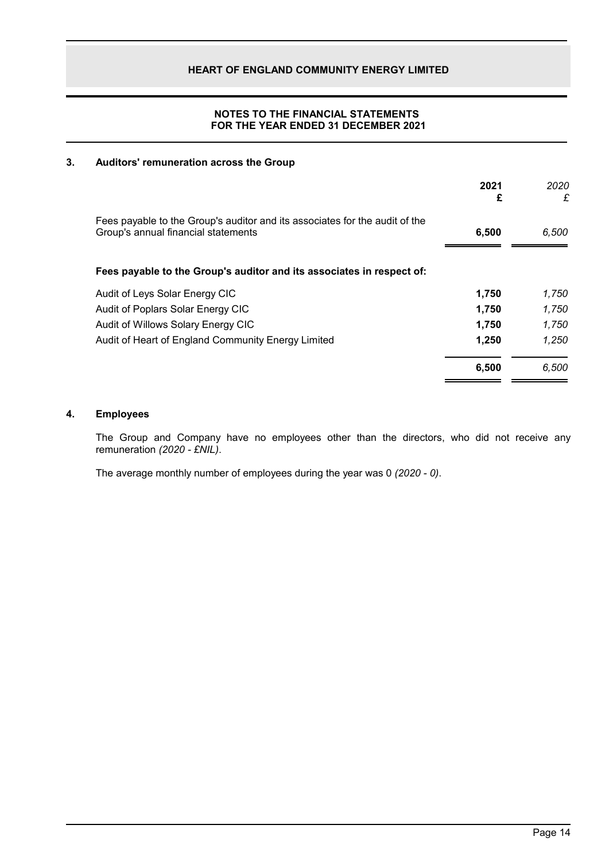# **NOTES TO THE FINANCIAL STATEMENTS FOR THE YEAR ENDED 31 DECEMBER 2021**

# **3. Auditors' remuneration across the Group**

|                                                                                                                    | 2021<br>£ | 2020<br>£ |
|--------------------------------------------------------------------------------------------------------------------|-----------|-----------|
| Fees payable to the Group's auditor and its associates for the audit of the<br>Group's annual financial statements | 6,500     | 6,500     |
| Fees payable to the Group's auditor and its associates in respect of:                                              |           |           |
| Audit of Leys Solar Energy CIC                                                                                     | 1.750     | 1.750     |
| Audit of Poplars Solar Energy CIC                                                                                  | 1,750     | 1,750     |
| Audit of Willows Solary Energy CIC                                                                                 | 1,750     | 1,750     |
| Audit of Heart of England Community Energy Limited                                                                 | 1,250     | 1,250     |
|                                                                                                                    | 6,500     | 6,500     |

# **4. Employees**

The Group and Company have no employees other than the directors, who did not receive any remuneration *(2020 - £NIL)*.

The average monthly number of employees during the year was 0 *(2020 - 0)*.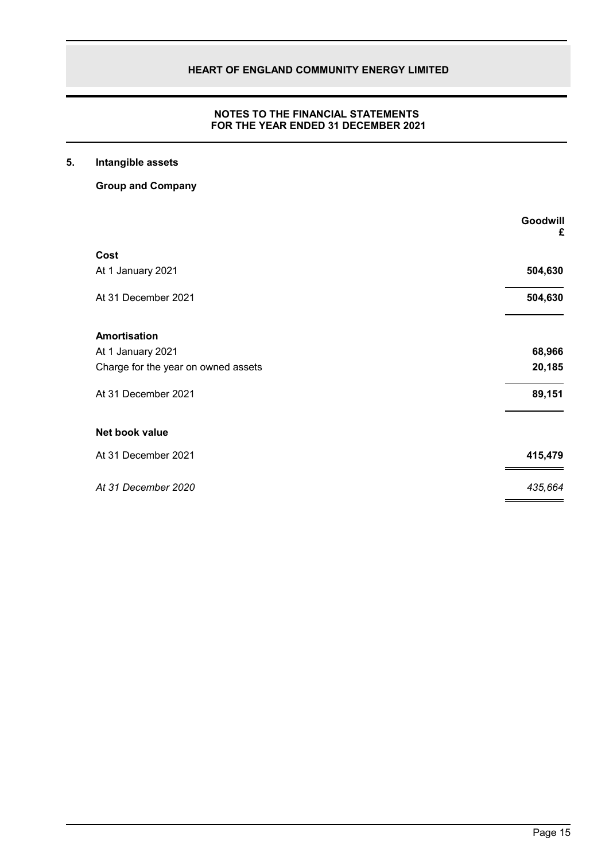# **NOTES TO THE FINANCIAL STATEMENTS FOR THE YEAR ENDED 31 DECEMBER 2021**

# **5. Intangible assets**

**Group and Company**

|                                     | Goodwill<br>£ |
|-------------------------------------|---------------|
| Cost                                |               |
| At 1 January 2021                   | 504,630       |
| At 31 December 2021                 | 504,630       |
| <b>Amortisation</b>                 |               |
| At 1 January 2021                   | 68,966        |
| Charge for the year on owned assets | 20,185        |
| At 31 December 2021                 | 89,151        |
| Net book value                      |               |
| At 31 December 2021                 | 415,479       |
| At 31 December 2020                 | 435,664       |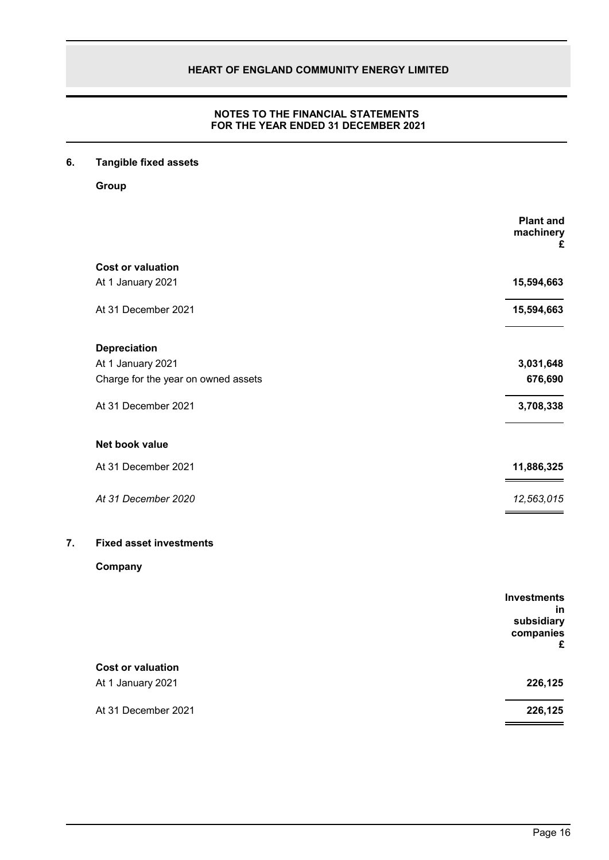# **NOTES TO THE FINANCIAL STATEMENTS FOR THE YEAR ENDED 31 DECEMBER 2021**

# **6. Tangible fixed assets**

**Group**

|    |                                     | <b>Plant and</b><br>machinery<br>£ |
|----|-------------------------------------|------------------------------------|
|    | <b>Cost or valuation</b>            |                                    |
|    | At 1 January 2021                   | 15,594,663                         |
|    | At 31 December 2021                 | 15,594,663                         |
|    | <b>Depreciation</b>                 |                                    |
|    | At 1 January 2021                   | 3,031,648                          |
|    | Charge for the year on owned assets | 676,690                            |
|    | At 31 December 2021                 | 3,708,338                          |
|    | Net book value                      |                                    |
|    | At 31 December 2021                 | 11,886,325                         |
|    | At 31 December 2020                 | 12,563,015                         |
| 7. | <b>Fixed asset investments</b>      |                                    |
|    | Company                             |                                    |
|    |                                     | <b>Investments</b><br>in           |
|    |                                     | subsidiary                         |
|    |                                     | companies<br>£                     |
|    | <b>Cost or valuation</b>            |                                    |
|    | At 1 January 2021                   | 226,125                            |
|    | At 31 December 2021                 | 226,125                            |
|    |                                     |                                    |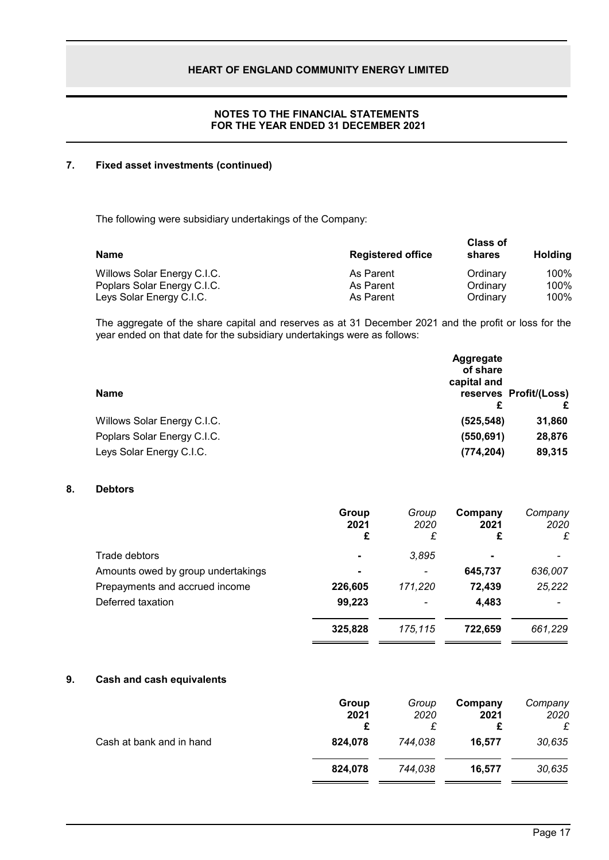# **NOTES TO THE FINANCIAL STATEMENTS FOR THE YEAR ENDED 31 DECEMBER 2021**

# **7. Fixed asset investments (continued)**

The following were subsidiary undertakings of the Company:

| <b>Name</b>                 | <b>Registered office</b> | <b>Class of</b><br>shares | <b>Holding</b> |
|-----------------------------|--------------------------|---------------------------|----------------|
| Willows Solar Energy C.I.C. | As Parent                | Ordinary                  | 100%           |
| Poplars Solar Energy C.I.C. | As Parent                | Ordinary                  | 100%           |
| Leys Solar Energy C.I.C.    | As Parent                | Ordinarv                  | 100%           |

The aggregate of the share capital and reserves as at 31 December 2021 and the profit or loss for the year ended on that date for the subsidiary undertakings were as follows:

|                             | <b>Aggregate</b><br>of share<br>capital and |                             |
|-----------------------------|---------------------------------------------|-----------------------------|
| <b>Name</b>                 | £                                           | reserves Profit/(Loss)<br>£ |
| Willows Solar Energy C.I.C. | (525, 548)                                  | 31,860                      |
| Poplars Solar Energy C.I.C. | (550, 691)                                  | 28,876                      |
| Leys Solar Energy C.I.C.    | (774, 204)                                  | 89,315                      |

# **8. Debtors**

|                                    | Group<br>2021<br>£       | Group<br>2020<br>£ | Company<br>2021<br>£ | Company<br>2020<br>£ |
|------------------------------------|--------------------------|--------------------|----------------------|----------------------|
| Trade debtors                      | $\overline{\phantom{0}}$ | 3,895              | $\blacksquare$       |                      |
| Amounts owed by group undertakings |                          |                    | 645,737              | 636,007              |
| Prepayments and accrued income     | 226,605                  | 171,220            | 72,439               | 25,222               |
| Deferred taxation                  | 99,223                   |                    | 4,483                |                      |
|                                    | 325,828                  | 175.115            | 722.659              | 661,229              |

#### **9. Cash and cash equivalents**

|                          | Group<br>2021 | Group<br>2020 | Company<br>2021<br>£ | Company<br>2020<br>£ |
|--------------------------|---------------|---------------|----------------------|----------------------|
| Cash at bank and in hand | 824.078       | 744.038       | 16.577               | 30,635               |
|                          | 824.078       | 744,038       | 16.577               | 30,635               |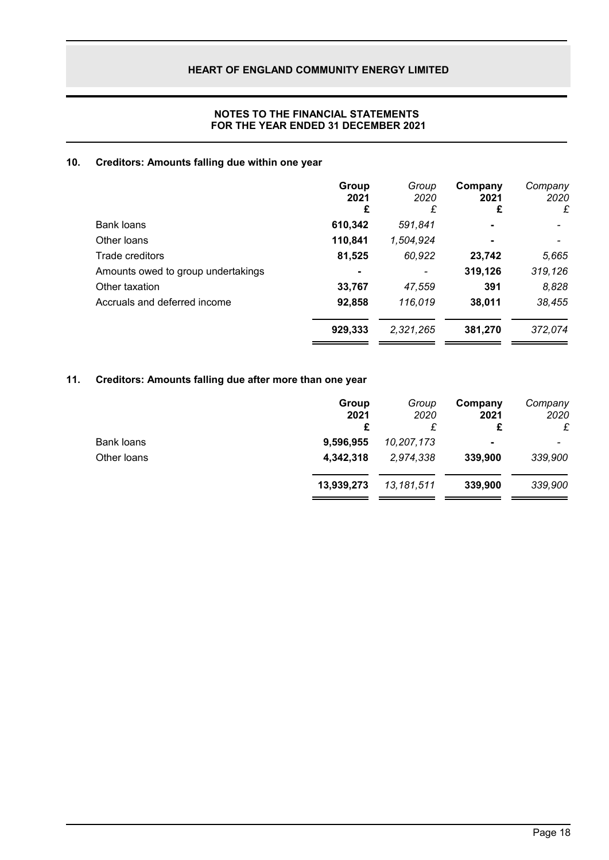# **NOTES TO THE FINANCIAL STATEMENTS FOR THE YEAR ENDED 31 DECEMBER 2021**

# **10. Creditors: Amounts falling due within one year**

|                                    | Group<br>2021<br>£ | Group<br>2020<br>£       | Company<br>2021<br>£ | Company<br>2020<br>£ |
|------------------------------------|--------------------|--------------------------|----------------------|----------------------|
| Bank loans                         | 610,342            | 591,841                  | $\blacksquare$       |                      |
| Other loans                        | 110,841            | 1,504,924                | $\blacksquare$       |                      |
| Trade creditors                    | 81,525             | 60,922                   | 23,742               | 5,665                |
| Amounts owed to group undertakings |                    | $\overline{\phantom{a}}$ | 319,126              | 319,126              |
| Other taxation                     | 33,767             | 47,559                   | 391                  | 8,828                |
| Accruals and deferred income       | 92,858             | 116,019                  | 38,011               | 38,455               |
|                                    | 929,333            | 2,321,265                | 381,270              | 372,074              |

# **11. Creditors: Amounts falling due after more than one year**

|            |            | 2021<br>£      | 2020<br>£ |
|------------|------------|----------------|-----------|
| 9,596,955  | 10,207,173 | $\blacksquare$ |           |
| 4,342,318  | 2,974,338  | 339,900        | 339,900   |
| 13,939,273 | 13,181,511 | 339,900        | 339,900   |
|            | £          |                |           |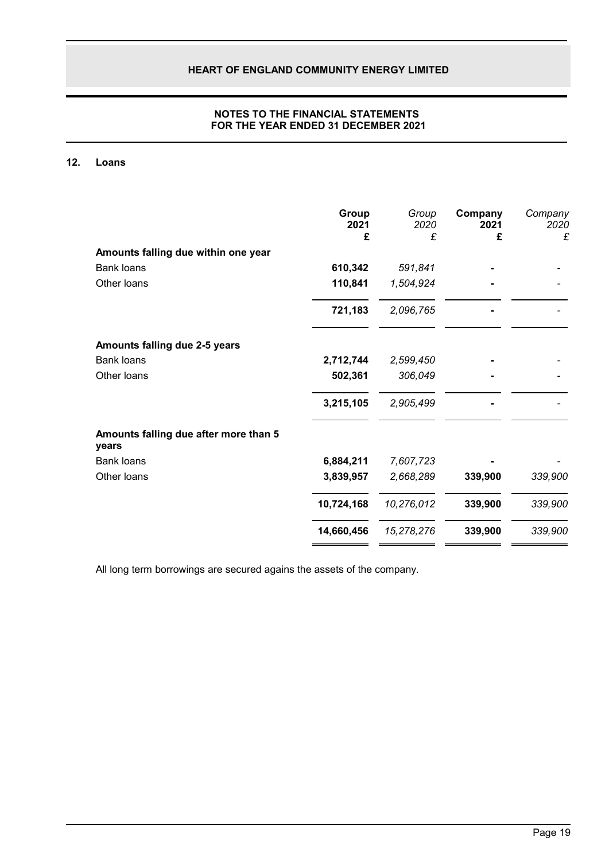# **NOTES TO THE FINANCIAL STATEMENTS FOR THE YEAR ENDED 31 DECEMBER 2021**

# **12. Loans**

|                                                | Group<br>2021<br>£ | Group<br>2020<br>£ | Company<br>2021<br>£ | Company<br>2020<br>£ |
|------------------------------------------------|--------------------|--------------------|----------------------|----------------------|
| Amounts falling due within one year            |                    |                    |                      |                      |
| <b>Bank loans</b>                              | 610,342            | 591,841            |                      |                      |
| Other loans                                    | 110,841            | 1,504,924          |                      |                      |
|                                                | 721,183            | 2,096,765          |                      |                      |
| Amounts falling due 2-5 years                  |                    |                    |                      |                      |
| <b>Bank loans</b>                              | 2,712,744          | 2,599,450          |                      |                      |
| Other loans                                    | 502,361            | 306,049            |                      |                      |
|                                                | 3,215,105          | 2,905,499          |                      |                      |
| Amounts falling due after more than 5<br>years |                    |                    |                      |                      |
| <b>Bank loans</b>                              | 6,884,211          | 7,607,723          |                      |                      |
| Other loans                                    | 3,839,957          | 2,668,289          | 339,900              | 339,900              |
|                                                | 10,724,168         | 10,276,012         | 339,900              | 339,900              |
|                                                | 14,660,456         | 15,278,276         | 339,900              | 339,900              |

All long term borrowings are secured agains the assets of the company.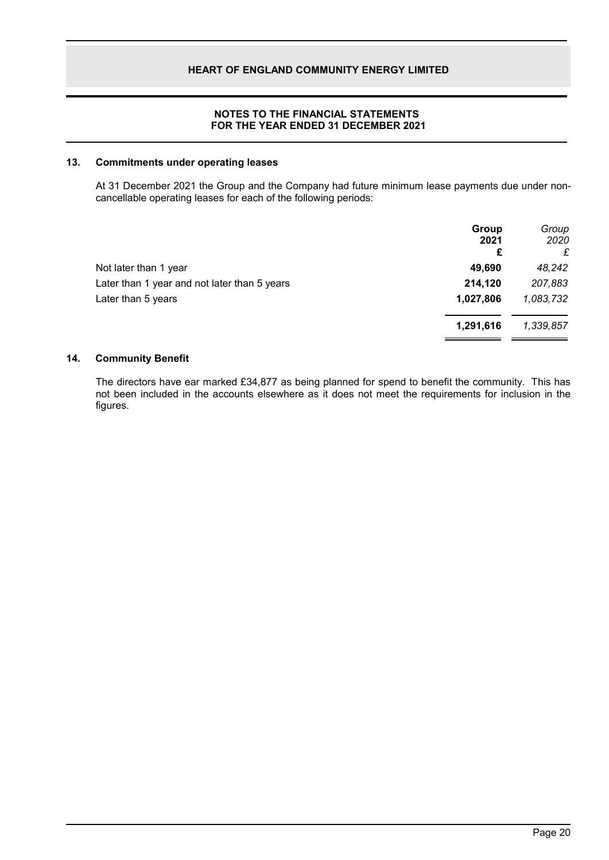### **NOTES TO THE FINANCIAL STATEMENTS FOR THE YEAR ENDED 31 DECEMBER 2021**

### **13. Commitments under operating leases**

At 31 December 2021 the Group and the Company had future minimum lease payments due under noncancellable operating leases for each of the following periods:

|                                              | Group<br>2021<br>£ | Group<br>2020<br>£ |
|----------------------------------------------|--------------------|--------------------|
| Not later than 1 year                        | 49,690             | 48,242             |
| Later than 1 year and not later than 5 years | 214,120            | 207,883            |
| Later than 5 years                           | 1,027,806          | 1,083,732          |
|                                              | 1,291,616          | 1,339,857          |

#### **14. Community Benefit**

The directors have ear marked £34,877 as being planned for spend to benefit the community. This has not been included in the accounts elsewhere as it does not meet the requirements for inclusion in the figures.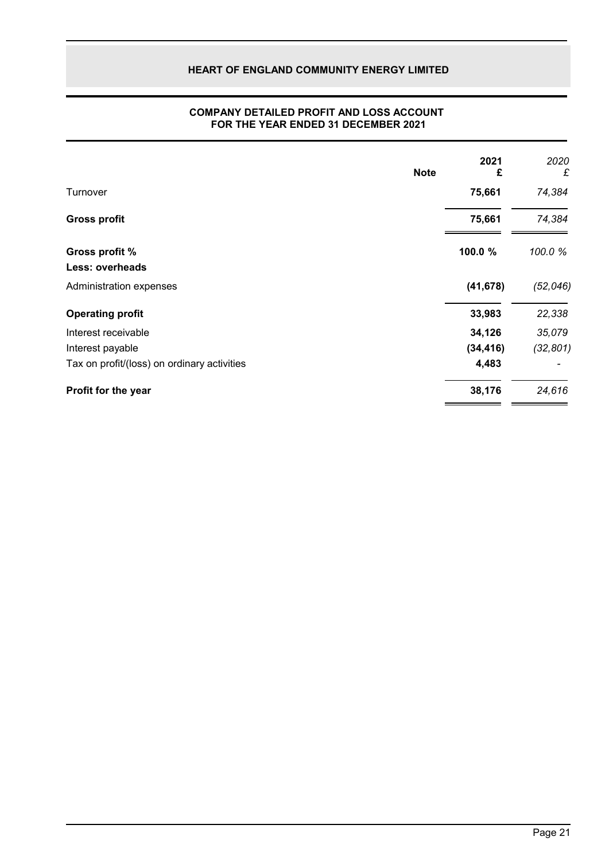|                                             | <b>Note</b> | 2021<br>£ | 2020<br>£ |
|---------------------------------------------|-------------|-----------|-----------|
| Turnover                                    |             | 75,661    | 74,384    |
| <b>Gross profit</b>                         |             | 75,661    | 74,384    |
| Gross profit %<br><b>Less: overheads</b>    |             | 100.0 %   | 100.0%    |
| Administration expenses                     |             | (41, 678) | (52, 046) |
| <b>Operating profit</b>                     |             | 33,983    | 22,338    |
| Interest receivable                         |             | 34,126    | 35,079    |
| Interest payable                            |             | (34, 416) | (32, 801) |
| Tax on profit/(loss) on ordinary activities |             | 4,483     |           |
| Profit for the year                         |             | 38,176    | 24,616    |

### **COMPANY DETAILED PROFIT AND LOSS ACCOUNT FOR THE YEAR ENDED 31 DECEMBER 2021**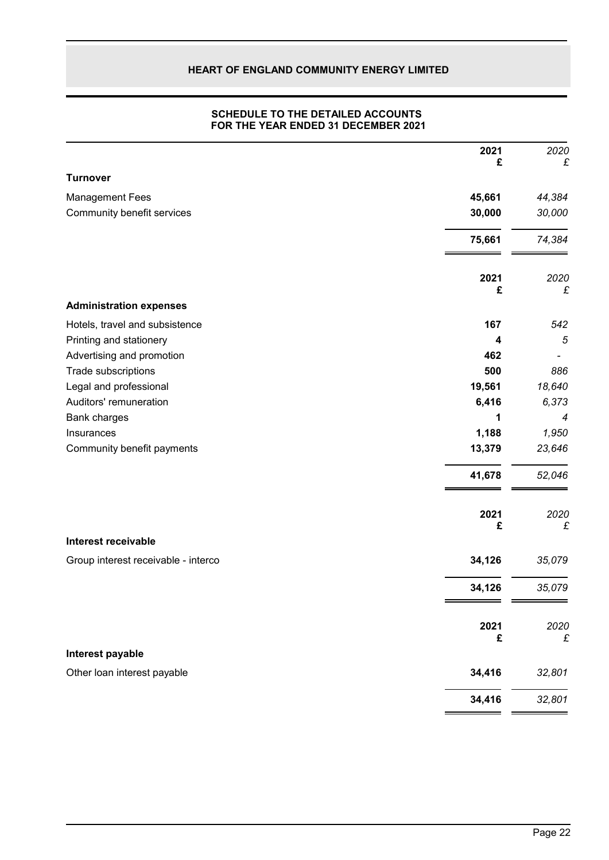### **SCHEDULE TO THE DETAILED ACCOUNTS FOR THE YEAR ENDED 31 DECEMBER 2021**

|                                     | 2021<br>£ | 2020<br>£ |
|-------------------------------------|-----------|-----------|
| <b>Turnover</b>                     |           |           |
| <b>Management Fees</b>              | 45,661    | 44,384    |
| Community benefit services          | 30,000    | 30,000    |
|                                     | 75,661    | 74,384    |
|                                     | 2021      | 2020      |
| <b>Administration expenses</b>      | £         | £         |
| Hotels, travel and subsistence      | 167       | 542       |
| Printing and stationery             | 4         | 5         |
| Advertising and promotion           | 462       |           |
| Trade subscriptions                 | 500       | 886       |
| Legal and professional              | 19,561    | 18,640    |
| Auditors' remuneration              | 6,416     | 6,373     |
| Bank charges                        | 1         | 4         |
| Insurances                          | 1,188     | 1,950     |
| Community benefit payments          | 13,379    | 23,646    |
|                                     | 41,678    | 52,046    |
|                                     | 2021<br>£ | 2020<br>£ |
| <b>Interest receivable</b>          |           |           |
| Group interest receivable - interco | 34,126    | 35,079    |
|                                     | 34,126    | 35,079    |
|                                     | 2021<br>£ | 2020<br>£ |
| Interest payable                    |           |           |
| Other loan interest payable         | 34,416    | 32,801    |
|                                     | 34,416    | 32,801    |
|                                     |           |           |